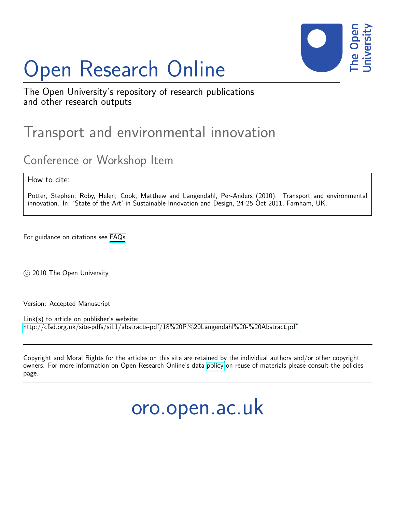# Open Research Online



The Open University's repository of research publications and other research outputs

## Transport and environmental innovation

### Conference or Workshop Item

How to cite:

Potter, Stephen; Roby, Helen; Cook, Matthew and Langendahl, Per-Anders (2010). Transport and environmental innovation. In: 'State of the Art' in Sustainable Innovation and Design, 24-25 Oct 2011, Farnham, UK.

For guidance on citations see [FAQs.](http://oro.open.ac.uk/help/helpfaq.html)

c 2010 The Open University

Version: Accepted Manuscript

Link(s) to article on publisher's website: <http://cfsd.org.uk/site-pdfs/si11/abstracts-pdf/18%20P.%20Langendahl%20-%20Abstract.pdf>

Copyright and Moral Rights for the articles on this site are retained by the individual authors and/or other copyright owners. For more information on Open Research Online's data [policy](http://oro.open.ac.uk/policies.html) on reuse of materials please consult the policies page.

oro.open.ac.uk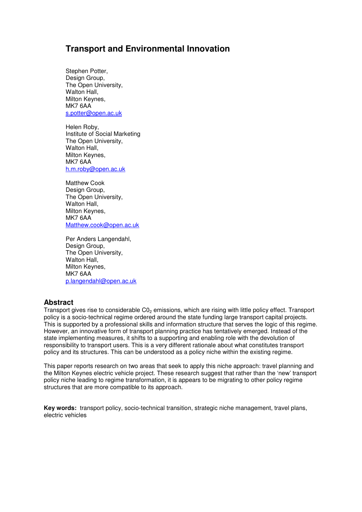#### **Transport and Environmental Innovation**

Stephen Potter, Design Group, The Open University, Walton Hall. Milton Keynes, MK7 6AA s.potter@open.ac.uk

Helen Roby, Institute of Social Marketing The Open University, Walton Hall, Milton Keynes, MK7 6AA h.m.roby@open.ac.uk

Matthew Cook Design Group, The Open University, Walton Hall, Milton Keynes, MK7 6AA Matthew.cook@open.ac.uk

Per Anders Langendahl, Design Group. The Open University, Walton Hall. Milton Keynes, MK7 6AA p.langendahl@open.ac.uk

#### **Abstract**

Transport gives rise to considerable C0<sub>2</sub> emissions, which are rising with little policy effect. Transport policy is a socio-technical regime ordered around the state funding large transport capital projects. This is supported by a professional skills and information structure that serves the logic of this regime. However, an innovative form of transport planning practice has tentatively emerged. Instead of the state implementing measures, it shifts to a supporting and enabling role with the devolution of responsibility to transport users. This is a very different rationale about what constitutes transport policy and its structures. This can be understood as a policy niche within the existing regime.

This paper reports research on two areas that seek to apply this niche approach: travel planning and the Milton Keynes electric vehicle project. These research suggest that rather than the 'new' transport policy niche leading to regime transformation, it is appears to be migrating to other policy regime structures that are more compatible to its approach.

**Key words:** transport policy, socio-technical transition, strategic niche management, travel plans, electric vehicles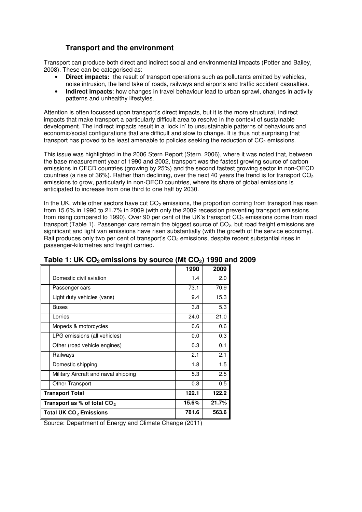#### **Transport and the environment**

Transport can produce both direct and indirect social and environmental impacts (Potter and Bailey, 2008). These can be categorised as:

- **Direct impacts:** the result of transport operations such as pollutants emitted by vehicles, noise intrusion, the land take of roads, railways and airports and traffic accident casualties.
- **Indirect impacts**: how changes in travel behaviour lead to urban sprawl, changes in activity patterns and unhealthy lifestyles.

Attention is often focussed upon transport's direct impacts, but it is the more structural, indirect impacts that make transport a particularly difficult area to resolve in the context of sustainable development. The indirect impacts result in a 'lock in' to unsustainable patterns of behaviours and economic/social configurations that are difficult and slow to change. It is thus not surprising that transport has proved to be least amenable to policies seeking the reduction of  $CO<sub>2</sub>$  emissions.

This issue was highlighted in the 2006 Stern Report (Stern, 2006), where it was noted that, between the base measurement year of 1990 and 2002, transport was the fastest growing source of carbon emissions in OECD countries (growing by 25%) and the second fastest growing sector in non-OECD countries (a rise of 36%). Rather than declining, over the next 40 years the trend is for transport  $CO<sub>2</sub>$ emissions to grow, particularly in non-OECD countries, where its share of global emissions is anticipated to increase from one third to one half by 2030.

In the UK, while other sectors have cut  $CO<sub>2</sub>$  emissions, the proportion coming from transport has risen from 15.6% in 1990 to 21.7% in 2009 (with only the 2009 recession preventing transport emissions from rising compared to 1990). Over 90 per cent of the UK's transport CO<sub>2</sub> emissions come from road transport (Table 1). Passenger cars remain the biggest source of  $CO<sub>2</sub>$ , but road freight emissions are significant and light van emissions have risen substantially (with the growth of the service economy). Rail produces only two per cent of transport's CO<sub>2</sub> emissions, despite recent substantial rises in passenger-kilometres and freight carried.

|                                      | 1990  | 2009  |
|--------------------------------------|-------|-------|
| Domestic civil aviation              | 1.4   | 2.0   |
| Passenger cars                       | 73.1  | 70.9  |
| Light duty vehicles (vans)           | 9.4   | 15.3  |
| Buses                                | 3.8   | 5.3   |
| Lorries                              | 24.0  | 21.0  |
| Mopeds & motorcycles                 | 0.6   | 0.6   |
| LPG emissions (all vehicles)         | 0.0   | 0.3   |
| Other (road vehicle engines)         | 0.3   | 0.1   |
| Railways                             | 2.1   | 2.1   |
| Domestic shipping                    | 1.8   | 1.5   |
| Military Aircraft and naval shipping | 5.3   | 2.5   |
| Other Transport                      | 0.3   | 0.5   |
| <b>Transport Total</b>               | 122.1 | 122.2 |
| Transport as % of total $CO2$        | 15.6% | 21.7% |
| Total UK CO <sub>2</sub> Emissions   | 781.6 | 563.6 |

#### **Table 1: UK CO2 emissions by source (Mt CO2) 1990 and 2009**

Source: Department of Energy and Climate Change (2011)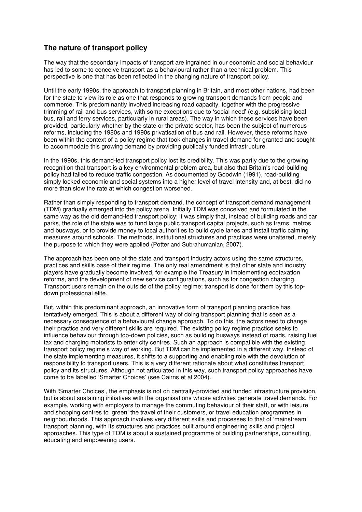#### **The nature of transport policy**

The way that the secondary impacts of transport are ingrained in our economic and social behaviour has led to some to conceive transport as a behavioural rather than a technical problem. This perspective is one that has been reflected in the changing nature of transport policy.

Until the early 1990s, the approach to transport planning in Britain, and most other nations, had been for the state to view its role as one that responds to growing transport demands from people and commerce. This predominantly involved increasing road capacity, together with the progressive trimming of rail and bus services, with some exceptions due to 'social need' (e.g. subsidising local bus, rail and ferry services, particularly in rural areas). The way in which these services have been provided, particularly whether by the state or the private sector, has been the subject of numerous reforms, including the 1980s and 1990s privatisation of bus and rail. However, these reforms have been within the context of a policy regime that took changes in travel demand for granted and sought to accommodate this growing demand by providing publically funded infrastructure.

In the 1990s, this demand-led transport policy lost its credibility. This was partly due to the growing recognition that transport is a key environmental problem area, but also that Britain's road-building policy had failed to reduce traffic congestion. As documented by Goodwin (1991), road-building simply locked economic and social systems into a higher level of travel intensity and, at best, did no more than slow the rate at which congestion worsened.

Rather than simply responding to transport demand, the concept of transport demand management (TDM) gradually emerged into the policy arena. Initially TDM was conceived and formulated in the same way as the old demand-led transport policy; it was simply that, instead of building roads and car parks, the role of the state was to fund large public transport capital projects, such as trams, metros and busways, or to provide money to local authorities to build cycle lanes and install traffic calming measures around schools. The methods, institutional structures and practices were unaltered, merely the purpose to which they were applied (Potter and Subrahumanian, 2007).

The approach has been one of the state and transport industry actors using the same structures, practices and skills base of their regime. The only real amendment is that other state and industry players have gradually become involved, for example the Treasury in implementing ecotaxation reforms, and the development of new service configurations, such as for congestion charging. Transport users remain on the outside of the policy regime; transport is done for them by this topdown professional élite.

But, within this predominant approach, an innovative form of transport planning practice has tentatively emerged. This is about a different way of doing transport planning that is seen as a necessary consequence of a behavioural change approach. To do this, the actors need to change their practice and very different skills are required. The existing policy regime practice seeks to influence behaviour through top-down policies, such as building busways instead of roads, raising fuel tax and charging motorists to enter city centres. Such an approach is compatible with the existing transport policy regime's way of working. But TDM can be implemented in a different way. Instead of the state implementing measures, it shifts to a supporting and enabling role with the devolution of responsibility to transport users. This is a very different rationale about what constitutes transport policy and its structures. Although not articulated in this way, such transport policy approaches have come to be labelled 'Smarter Choices' (see Cairns et al 2004).

With 'Smarter Choices', the emphasis is not on centrally-provided and funded infrastructure provision, but is about sustaining initiatives with the organisations whose activities generate travel demands. For example, working with employers to manage the commuting behaviour of their staff, or with leisure and shopping centres to 'green' the travel of their customers, or travel education programmes in neighbourhoods. This approach involves very different skills and processes to that of 'mainstream' transport planning, with its structures and practices built around engineering skills and project approaches. This type of TDM is about a sustained programme of building partnerships, consulting, educating and empowering users.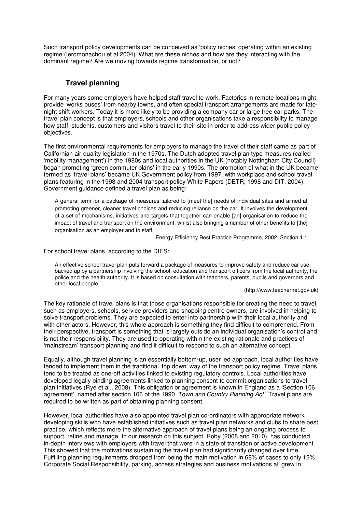Such transport policy developments can be conceived as 'policy niches' operating within an existing regime (Ieromonachou et al 2004). What are these niches and how are they interacting with the dominant regime? Are we moving towards regime transformation, or not?

#### **Travel planning**

For many years some employers have helped staff travel to work. Factories in remote locations might provide 'works buses' from nearby towns, and often special transport arrangements are made for latenight shift workers. Today it is more likely to be providing a company car or large free car parks. The travel plan concept is that employers, schools and other organisations take a responsibility to manage how staff, students, customers and visitors travel to their site in order to address wider public policy objectives.

The first environmental requirements for employers to manage the travel of their staff came as part of Californian air-quality legislation in the 1970s. The Dutch adopted travel plan type measures (called 'mobility management') in the 1980s and local authorities in the UK (notably Nottingham City Council) began promoting 'green commuter plans' in the early 1990s. The promotion of what in the UK became termed as 'travel plans' became UK Government policy from 1997, with workplace and school travel plans featuring in the 1998 and 2004 transport policy White Papers (DETR, 1998 and DfT, 2004). Government guidance defined a travel plan as being:

A general term for a package of measures tailored to [meet the] needs of individual sites and aimed at promoting greener, cleaner travel choices and reducing reliance on the car. It involves the development of a set of mechanisms, initiatives and targets that together can enable [an] organisation to reduce the impact of travel and transport on the environment, whilst also bringing a number of other benefits to [the] organisation as an employer and to staff.

Energy Efficiency Best Practice Programme, 2002, Section 1.1

For school travel plans, according to the DfES:

An effective school travel plan puts forward a package of measures to improve safety and reduce car use, backed up by a partnership involving the school, education and transport officers from the local authority, the police and the health authority. It is based on consultation with teachers, parents, pupils and governors and other local people.'

(http://www.teachernet.gov.uk)

The key rationale of travel plans is that those organisations responsible for creating the need to travel, such as employers, schools, service providers and shopping centre owners, are involved in helping to solve transport problems. They are expected to enter into partnership with their local authority and with other actors. However, this whole approach is something they find difficult to comprehend. From their perspective, transport is something that is largely outside an individual organisation's control and is not their responsibility. They are used to operating within the existing rationale and practices of 'mainstream' transport planning and find it difficult to respond to such an alternative concept.

Equally, although travel planning is an essentially bottom-up, user led approach, local authorities have tended to implement them in the traditional 'top down' way of the transport policy regime. Travel plans tend to be treated as one-off activities linked to existing regulatory controls. Local authorities have developed legally binding agreements linked to planning consent to commit organisations to travel plan initiatives (Rye et al., 2008). This obligation or agreement is known in England as a 'Section 106 agreement', named after section 106 of the 1990 'Town and Country Planning Act'. Travel plans are required to be written as part of obtaining planning consent.

However, local authorities have also appointed travel plan co-ordinators with appropriate network developing skills who have established initiatives such as travel plan networks and clubs to share best practice, which reflects more the alternative approach of travel plans being an ongoing process to support, refine and manage. In our research on this subject, Roby (2008 and 2010), has conducted in-depth interviews with employers with travel that were in a state of transition or active development. This showed that the motivations sustaining the travel plan had significantly changed over time. Fulfilling planning requirements dropped from being the main motivation in 68% of cases to only 12%; Corporate Social Responsibility, parking, access strategies and business motivations all grew in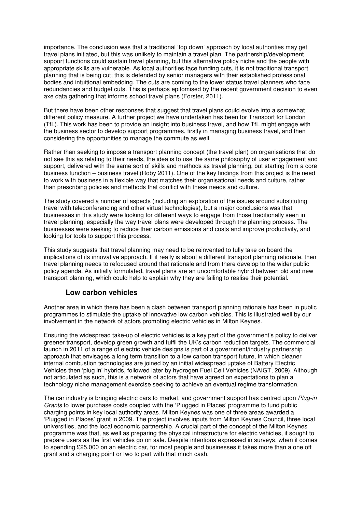importance. The conclusion was that a traditional 'top down' approach by local authorities may get travel plans initiated, but this was unlikely to maintain a travel plan. The partnership/development support functions could sustain travel planning, but this alternative policy niche and the people with appropriate skills are vulnerable. As local authorities face funding cuts, it is not traditional transport planning that is being cut; this is defended by senior managers with their established professional bodies and intuitional embedding. The cuts are coming to the lower status travel planners who face redundancies and budget cuts. This is perhaps epitomised by the recent government decision to even axe data gathering that informs school travel plans (Forster, 2011).

But there have been other responses that suggest that travel plans could evolve into a somewhat different policy measure. A further project we have undertaken has been for Transport for London (TfL). This work has been to provide an insight into business travel, and how TfL might engage with the business sector to develop support programmes, firstly in managing business travel, and then considering the opportunities to manage the commute as well.

Rather than seeking to impose a transport planning concept (the travel plan) on organisations that do not see this as relating to their needs, the idea is to use the same philosophy of user engagement and support, delivered with the same sort of skills and methods as travel planning, but starting from a core business function – business travel (Roby 2011). One of the key findings from this project is the need to work with business in a flexible way that matches their organisational needs and culture, rather than prescribing policies and methods that conflict with these needs and culture.

The study covered a number of aspects (including an exploration of the issues around substituting travel with teleconferencing and other virtual technologies), but a major conclusions was that businesses in this study were looking for different ways to engage from those traditionally seen in travel planning, especially the way travel plans were developed through the planning process. The businesses were seeking to reduce their carbon emissions and costs and improve productivity, and looking for tools to support this process.

This study suggests that travel planning may need to be reinvented to fully take on board the implications of its innovative approach. If it really is about a different transport planning rationale, then travel planning needs to refocused around that rationale and from there develop to the wider public policy agenda. As initially formulated, travel plans are an uncomfortable hybrid between old and new transport planning, which could help to explain why they are failing to realise their potential.

#### **Low carbon vehicles**

Another area in which there has been a clash between transport planning rationale has been in public programmes to stimulate the uptake of innovative low carbon vehicles. This is illustrated well by our involvement in the network of actors promoting electric vehicles in Milton Keynes.

Ensuring the widespread take-up of electric vehicles is a key part of the government's policy to deliver greener transport, develop green growth and fulfil the UK's carbon reduction targets. The commercial launch in 2011 of a range of electric vehicle designs is part of a government/industry partnership approach that envisages a long term transition to a low carbon transport future, in which cleaner internal combustion technologies are joined by an initial widespread uptake of Battery Electric Vehicles then 'plug in' hybrids, followed later by hydrogen Fuel Cell Vehicles (NAIGT, 2009). Although not articulated as such, this is a network of actors that have agreed on expectations to plan a technology niche management exercise seeking to achieve an eventual regime transformation.

The car industry is bringing electric cars to market, and government support has centred upon Plug-in Grants to lower purchase costs coupled with the 'Plugged in Places' programme to fund public charging points in key local authority areas. Milton Keynes was one of three areas awarded a 'Plugged in Places' grant in 2009. The project involves inputs from Milton Keynes Council, three local universities, and the local economic partnership. A crucial part of the concept of the Milton Keynes programme was that, as well as preparing the physical infrastructure for electric vehicles, it sought to prepare users as the first vehicles go on sale. Despite intentions expressed in surveys, when it comes to spending £25,000 on an electric car, for most people and businesses it takes more than a one off grant and a charging point or two to part with that much cash.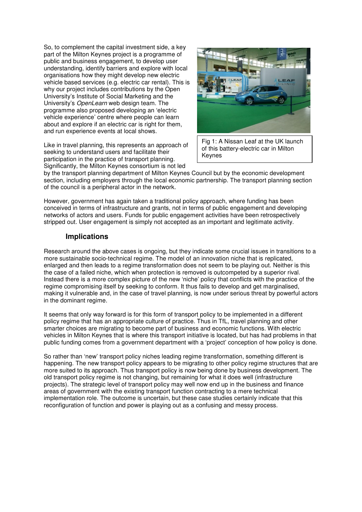So, to complement the capital investment side, a key part of the Milton Keynes project is a programme of public and business engagement, to develop user understanding, identify barriers and explore with local organisations how they might develop new electric vehicle based services (e.g. electric car rental). This is why our project includes contributions by the Open University's Institute of Social Marketing and the University's OpenLearn web design team. The programme also proposed developing an 'electric vehicle experience' centre where people can learn about and explore if an electric car is right for them, and run experience events at local shows.

Like in travel planning, this represents an approach of seeking to understand users and facilitate their participation in the practice of transport planning. Significantly, the Milton Keynes consortium is not led



Fig 1: A Nissan Leaf at the UK launch of this battery-electric car in Milton Keynes

by the transport planning department of Milton Keynes Council but by the economic development section, including employers through the local economic partnership. The transport planning section of the council is a peripheral actor in the network.

However, government has again taken a traditional policy approach, where funding has been conceived in terms of infrastructure and grants, not in terms of public engagement and developing networks of actors and users. Funds for public engagement activities have been retrospectively stripped out. User engagement is simply not accepted as an important and legitimate activity.

#### **Implications**

Research around the above cases is ongoing, but they indicate some crucial issues in transitions to a more sustainable socio-technical regime. The model of an innovation niche that is replicated, enlarged and then leads to a regime transformation does not seem to be playing out. Neither is this the case of a failed niche, which when protection is removed is outcompeted by a superior rival. Instead there is a more complex picture of the new 'niche' policy that conflicts with the practice of the regime compromising itself by seeking to conform. It thus fails to develop and get marginalised, making it vulnerable and, in the case of travel planning, is now under serious threat by powerful actors in the dominant regime.

It seems that only way forward is for this form of transport policy to be implemented in a different policy regime that has an appropriate culture of practice. Thus in TfL, travel planning and other smarter choices are migrating to become part of business and economic functions. With electric vehicles in Milton Keynes that is where this transport initiative is located, but has had problems in that public funding comes from a government department with a 'project' conception of how policy is done.

So rather than 'new' transport policy niches leading regime transformation, something different is happening. The new transport policy appears to be migrating to other policy regime structures that are more suited to its approach. Thus transport policy is now being done by business development. The old transport policy regime is not changing, but remaining for what it does well (infrastructure projects). The strategic level of transport policy may well now end up in the business and finance areas of government with the existing transport function contracting to a mere technical implementation role. The outcome is uncertain, but these case studies certainly indicate that this reconfiguration of function and power is playing out as a confusing and messy process.